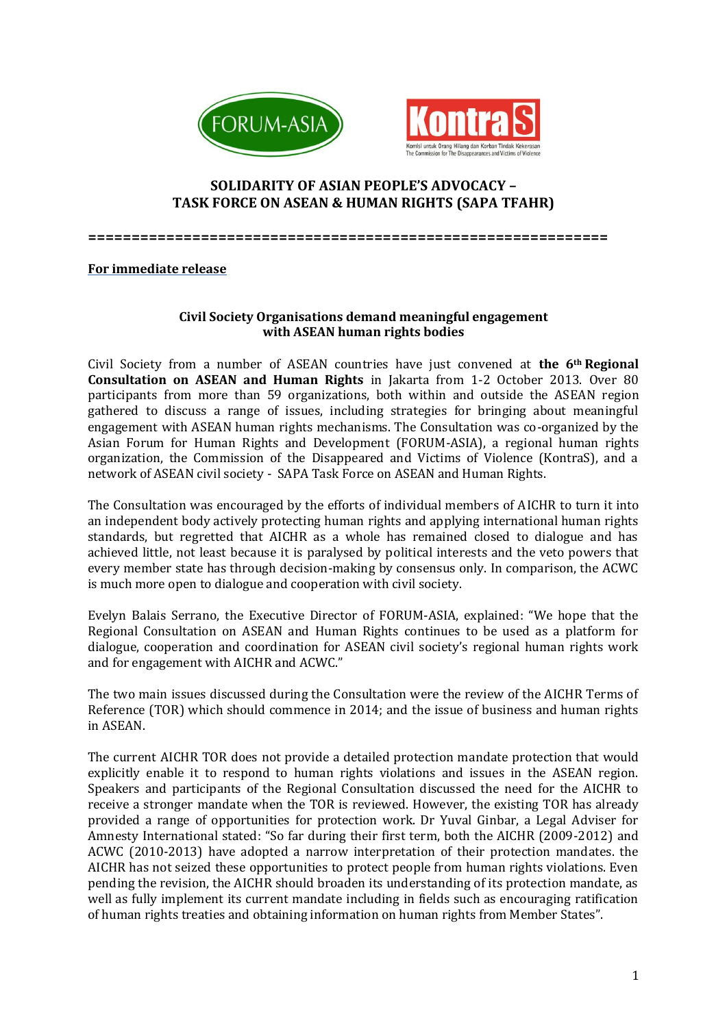



## **SOLIDARITY OF ASIAN PEOPLE'S ADVOCACY – TASK FORCE ON ASEAN & HUMAN RIGHTS (SAPA TFAHR)**

**============================================================**

## **For immediate release**

## **Civil Society Organisations demand meaningful engagement with ASEAN human rights bodies**

Civil Society from a number of ASEAN countries have just convened at **the 6th Regional Consultation on ASEAN and Human Rights** in Jakarta from 1-2 October 2013. Over 80 participants from more than 59 organizations, both within and outside the ASEAN region gathered to discuss a range of issues, including strategies for bringing about meaningful engagement with ASEAN human rights mechanisms. The Consultation was co-organized by the Asian Forum for Human Rights and Development (FORUM-ASIA), a regional human rights organization, the Commission of the Disappeared and Victims of Violence (KontraS), and a network of ASEAN civil society - SAPA Task Force on ASEAN and Human Rights.

The Consultation was encouraged by the efforts of individual members of AICHR to turn it into an independent body actively protecting human rights and applying international human rights standards, but regretted that AICHR as a whole has remained closed to dialogue and has achieved little, not least because it is paralysed by political interests and the veto powers that every member state has through decision-making by consensus only. In comparison, the ACWC is much more open to dialogue and cooperation with civil society.

Evelyn Balais Serrano, the Executive Director of FORUM-ASIA, explained: "We hope that the Regional Consultation on ASEAN and Human Rights continues to be used as a platform for dialogue, cooperation and coordination for ASEAN civil society's regional human rights work and for engagement with AICHR and ACWC."

The two main issues discussed during the Consultation were the review of the AICHR Terms of Reference (TOR) which should commence in 2014; and the issue of business and human rights in ASEAN.

The current AICHR TOR does not provide a detailed protection mandate protection that would explicitly enable it to respond to human rights violations and issues in the ASEAN region. Speakers and participants of the Regional Consultation discussed the need for the AICHR to receive a stronger mandate when the TOR is reviewed. However, the existing TOR has already provided a range of opportunities for protection work. Dr Yuval Ginbar, a Legal Adviser for Amnesty International stated: "So far during their first term, both the AICHR (2009-2012) and ACWC (2010-2013) have adopted a narrow interpretation of their protection mandates. the AICHR has not seized these opportunities to protect people from human rights violations. Even pending the revision, the AICHR should broaden its understanding of its protection mandate, as well as fully implement its current mandate including in fields such as encouraging ratification of human rights treaties and obtaining information on human rights from Member States".